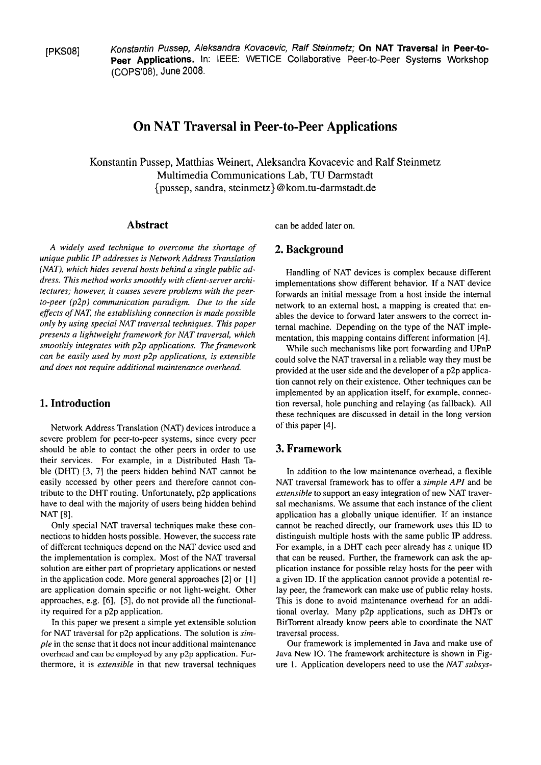[PKS08] Konstantin Pussep, Aleksandra Kovacevic, Ralf Steinmetz; **On NAT Traversal in Peer-to-Peer Applications.** In: IEEE: WETICE Collaborative Peer-to-Peer Systems Workshop (COPS108), June 2008.

# **On NAT Traversal in Peer-to-Peer Applications**

Konstantin Pussep, Matthias Weinert, Aleksandra Kovacevic and Ralf Steinmetz Multimedia Communications Lab, TU Darmstadt {pussep, sandra, Steinmetz) @ kom.tu-dannstadt.de

*A widely used technique to overcome the shortage of unique public IP addresses is Network Address Translation (NAT), which hides several hosts behind a single public address. This method works smoothly with client-server architectures; however; it causes severe problems with the peerto-peer (p2p) communication paradigm. Due to the side effects of NA?: the establishing connection is made possible only by using special NAT traversal techniques. This paper presents a lightweight framework for NAT traversal, which smoothly integrates with p2p applications. The framework can be easily used by most p2p applications, is extensible und does not require additional maintenance overhead.* 

## **1. Introduction**

Network Address Translation (NAT) devices introduce a severe problem for peer-to-peer Systems, since every peer should be able to contact the other peers in order to use their services. For example, in a Distributed Hash Table (DHT) [3, 71 the peers hidden behind NAT cannot be easily accessed by other peers and therefore cannot contribute to the DHT routing. Unfortunately, p2p applications have to deal with the majority of users being hidden behind NAT [8].

Only special NAT traversal techniques make these connections to hidden hosts possible. However, the success rate of different techniques depend on the NAT device used and the implementation is complex. Most of the NAT traversal solution are either part of proprietary applications or nested in the application code. More general approaches [2] or [I] are application domain specific or not light-weight. Other approaches, e.g. **[6],** [5], do not provide all the functionality required for a p2p application.

In this paper we present a simple yet extensible solution for NAT traversal for p2p applications. The solution is *simple* in the sense that it does not incur additional maintenance overhead and can be ernployed by any p2p application. Furthermore, it is *extensible* in that new traversal techniques

**Abstract** can be added later on.

## **2. Background**

Handling of NAT devices is complex because different implementations show different behavior. If a NAT device forwards an initial message from a host inside the intemal network to an extemal host, a mapping is created that enables the device to fonvard later answers to the correct internal machine. Depending on the type of the NAT implementation, this mapping contains different information **[4].** 

While such mechanisms like port forwarding and UPnP could solve the NAT traversal in a reliable way they must be provided at the user side and the developer of a p2p application cannot rely on their existence. Other techniques can be implemented by an application itself, for example, connection reversal, hole punching and relaying (as fallback). All these techniques are discussed in detail in the long version of this paper **[4].** 

## **3. Framework**

In addition to the low maintenance overhead, a flexible NAT traversal framework has to offer a *simple* API and be *extensible* to support an easy integration of new NAT traversal mechanisms. We assume that each instance of the client application has a globally unique identifier. If an instance cannot be reached directly, our framework uses this ID to distinguish multiple hosts with the same public IP address. For example, in a DHT each peer already has a unique ID that can be reused. Further, the framework can ask the application instance for possible relay hosts for the peer with a given **ID.** If the application cannot provide a potential relay peer, the framework can make use of public relay hosts. This is done to avoid maintenance overhead for an additional overlay. Many p2p applications, such as DHTs or BitTorrent already know peers able to coordinate the NAT traversal process.

Our framework is implemented in Java and make use of Java New 10. The framework architecture **is** shown in Figure 1. Application developers need to use the *NAT subsys-*